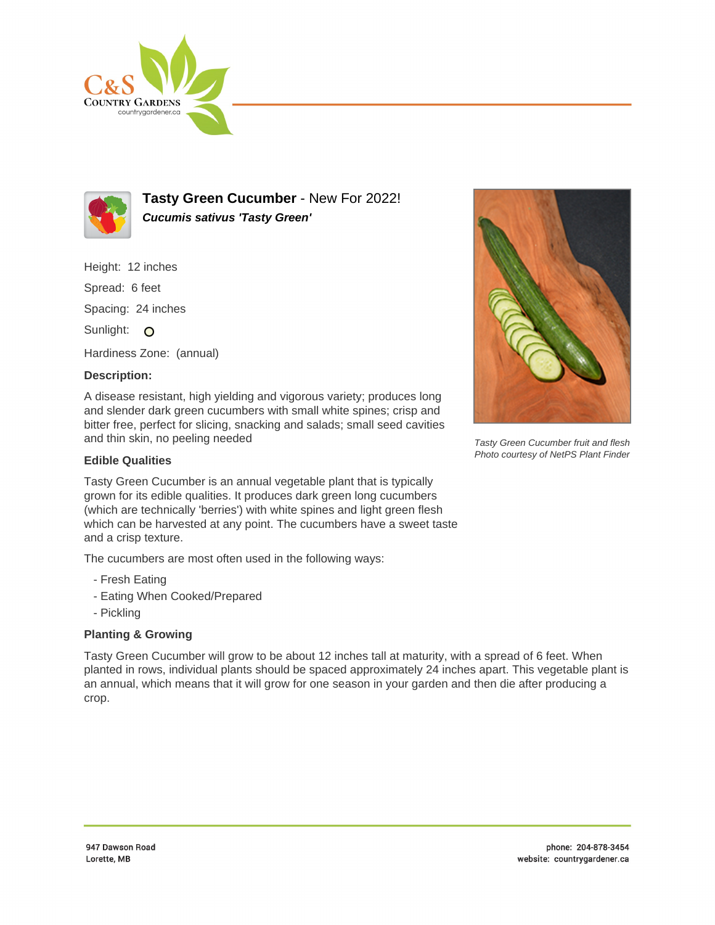



**Tasty Green Cucumber** - New For 2022! **Cucumis sativus 'Tasty Green'**

Height: 12 inches

Spread: 6 feet

Spacing: 24 inches

Sunlight: O

Hardiness Zone: (annual)

## **Description:**

A disease resistant, high yielding and vigorous variety; produces long and slender dark green cucumbers with small white spines; crisp and bitter free, perfect for slicing, snacking and salads; small seed cavities and thin skin, no peeling needed

## **Edible Qualities**

Tasty Green Cucumber is an annual vegetable plant that is typically grown for its edible qualities. It produces dark green long cucumbers (which are technically 'berries') with white spines and light green flesh which can be harvested at any point. The cucumbers have a sweet taste and a crisp texture.

The cucumbers are most often used in the following ways:

- Fresh Eating
- Eating When Cooked/Prepared
- Pickling

## **Planting & Growing**

Tasty Green Cucumber will grow to be about 12 inches tall at maturity, with a spread of 6 feet. When planted in rows, individual plants should be spaced approximately 24 inches apart. This vegetable plant is an annual, which means that it will grow for one season in your garden and then die after producing a crop.



Tasty Green Cucumber fruit and flesh Photo courtesy of NetPS Plant Finder